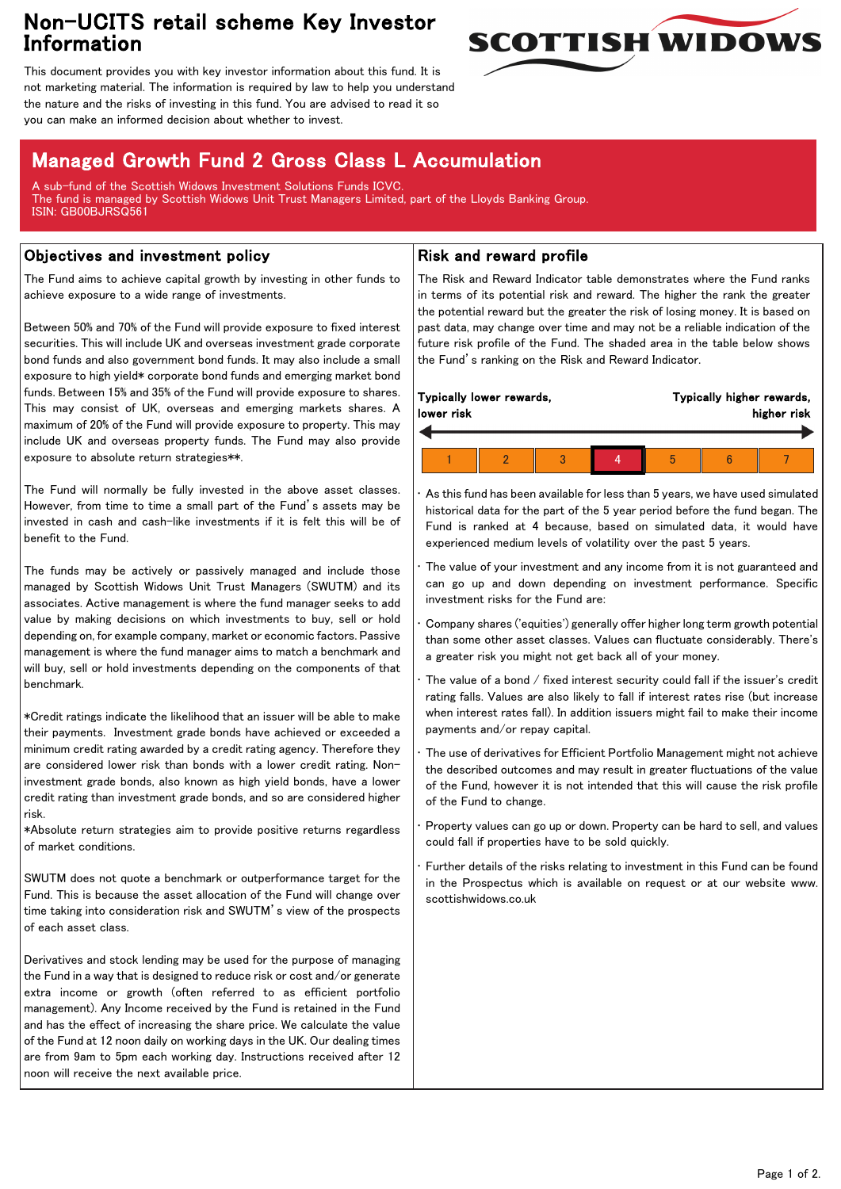## Non-UCITS retail scheme Key Investor Information



This document provides you with key investor information about this fund. It is not marketing material. The information is required by law to help you understand the nature and the risks of investing in this fund. You are advised to read it so you can make an informed decision about whether to invest.

# Managed Growth Fund 2 Gross Class L Accumulation

A sub-fund of the Scottish Widows Investment Solutions Funds ICVC. The fund is managed by Scottish Widows Unit Trust Managers Limited, part of the Lloyds Banking Group. ISIN: GB00BJRSQ561

### Objectives and investment policy

The Fund aims to achieve capital growth by investing in other funds to achieve exposure to a wide range of investments.

Between 50% and 70% of the Fund will provide exposure to fixed interest securities. This will include UK and overseas investment grade corporate bond funds and also government bond funds. It may also include a small exposure to high yield\* corporate bond funds and emerging market bond funds. Between 15% and 35% of the Fund will provide exposure to shares. This may consist of UK, overseas and emerging markets shares. A maximum of 20% of the Fund will provide exposure to property. This may include UK and overseas property funds. The Fund may also provide exposure to absolute return strategies\*\*.

The Fund will normally be fully invested in the above asset classes. However, from time to time a small part of the Fund's assets may be invested in cash and cash-like investments if it is felt this will be of benefit to the Fund.

The funds may be actively or passively managed and include those managed by Scottish Widows Unit Trust Managers (SWUTM) and its associates. Active management is where the fund manager seeks to add value by making decisions on which investments to buy, sell or hold depending on, for example company, market or economic factors. Passive management is where the fund manager aims to match a benchmark and will buy, sell or hold investments depending on the components of that benchmark.

\*Credit ratings indicate the likelihood that an issuer will be able to make their payments. Investment grade bonds have achieved or exceeded a minimum credit rating awarded by a credit rating agency. Therefore they are considered lower risk than bonds with a lower credit rating. Noninvestment grade bonds, also known as high yield bonds, have a lower credit rating than investment grade bonds, and so are considered higher risk.

\*Absolute return strategies aim to provide positive returns regardless of market conditions.

SWUTM does not quote a benchmark or outperformance target for the Fund. This is because the asset allocation of the Fund will change over time taking into consideration risk and SWUTM's view of the prospects of each asset class.

Derivatives and stock lending may be used for the purpose of managing the Fund in a way that is designed to reduce risk or cost and/or generate extra income or growth (often referred to as efficient portfolio management). Any Income received by the Fund is retained in the Fund and has the effect of increasing the share price. We calculate the value of the Fund at 12 noon daily on working days in the UK. Our dealing times are from 9am to 5pm each working day. Instructions received after 12 noon will receive the next available price.

#### Risk and reward profile

The Risk and Reward Indicator table demonstrates where the Fund ranks in terms of its potential risk and reward. The higher the rank the greater the potential reward but the greater the risk of losing money. It is based on past data, may change over time and may not be a reliable indication of the future risk profile of the Fund. The shaded area in the table below shows the Fund's ranking on the Risk and Reward Indicator.

| Typically lower rewards,<br>lower risk |  |  |  | Typically higher rewards,<br>higher risk |  |  |  |
|----------------------------------------|--|--|--|------------------------------------------|--|--|--|
|                                        |  |  |  |                                          |  |  |  |
|                                        |  |  |  | h                                        |  |  |  |

As this fund has been available for less than 5 years, we have used simulated historical data for the part of the 5 year period before the fund began. The Fund is ranked at 4 because, based on simulated data, it would have experienced medium levels of volatility over the past 5 years.

The value of your investment and any income from it is not guaranteed and can go up and down depending on investment performance. Specific investment risks for the Fund are:

• Company shares ('equities') generally offer higher long term growth potential than some other asset classes. Values can fluctuate considerably. There's a greater risk you might not get back all of your money.

The value of a bond  $/$  fixed interest security could fall if the issuer's credit rating falls. Values are also likely to fall if interest rates rise (but increase when interest rates fall). In addition issuers might fail to make their income payments and/or repay capital.

• The use of derivatives for Efficient Portfolio Management might not achieve the described outcomes and may result in greater fluctuations of the value of the Fund, however it is not intended that this will cause the risk profile of the Fund to change.

• Property values can go up or down. Property can be hard to sell, and values could fall if properties have to be sold quickly.

Further details of the risks relating to investment in this Fund can be found in the Prospectus which is available on request or at our website www. scottishwidows.co.uk